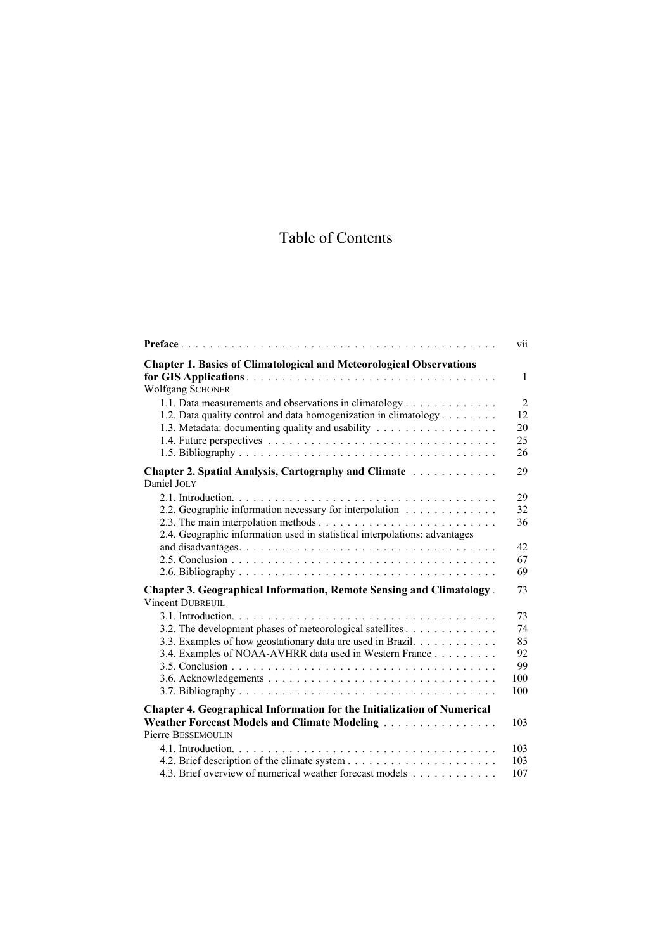## Table of Contents

|                                                                                                 | vii            |
|-------------------------------------------------------------------------------------------------|----------------|
| <b>Chapter 1. Basics of Climatological and Meteorological Observations</b>                      | $\mathbf{1}$   |
| <b>Wolfgang SCHONER</b>                                                                         |                |
| 1.1. Data measurements and observations in climatology                                          | $\overline{2}$ |
| 1.2. Data quality control and data homogenization in climatology                                | 12             |
| 1.3. Metadata: documenting quality and usability                                                | 20             |
|                                                                                                 | 25             |
|                                                                                                 | 26             |
| Chapter 2. Spatial Analysis, Cartography and Climate<br>Daniel JOLY                             | 29             |
|                                                                                                 | 29             |
| 2.2. Geographic information necessary for interpolation                                         | 32             |
|                                                                                                 | 36             |
| 2.4. Geographic information used in statistical interpolations: advantages                      |                |
|                                                                                                 | 42<br>67       |
|                                                                                                 | 69             |
|                                                                                                 |                |
| <b>Chapter 3. Geographical Information, Remote Sensing and Climatology.</b><br>Vincent DUBREUIL | 73             |
|                                                                                                 | 73             |
| 3.2. The development phases of meteorological satellites                                        | 74             |
| 3.3. Examples of how geostationary data are used in Brazil.                                     | 85<br>92       |
| 3.4. Examples of NOAA-AVHRR data used in Western France                                         | 99             |
|                                                                                                 | 100            |
|                                                                                                 | 100            |
| Chapter 4. Geographical Information for the Initialization of Numerical                         |                |
| Weather Forecast Models and Climate Modeling                                                    | 103            |
| Pierre BESSEMOULIN                                                                              |                |
|                                                                                                 | 103            |
|                                                                                                 | 103            |
| 4.3. Brief overview of numerical weather forecast models                                        | 107            |